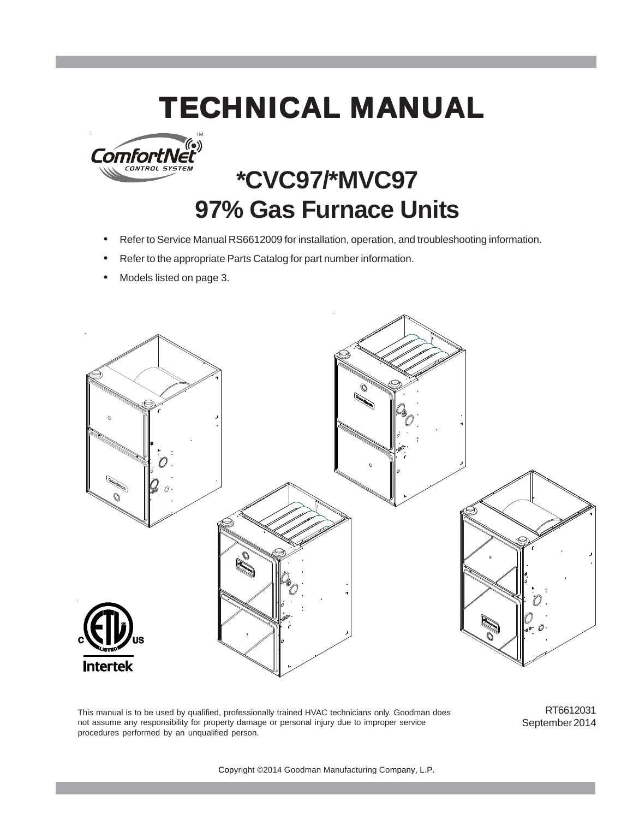# **TECHNICAL MANUAL**



# **\*CVC97/\*MVC97 97% Gas Furnace Units**

- Refer to Service Manual RS6612009 for installation, operation, and troubleshooting information.
- Refer to the appropriate Parts Catalog for part number information.
- Models listed on page 3.



This manual is to be used by qualified, professionally trained HVAC technicians only. Goodman does not assume any responsibility for property damage or personal injury due to improper service procedures performed by an unqualified person.

RT6612031 September 2014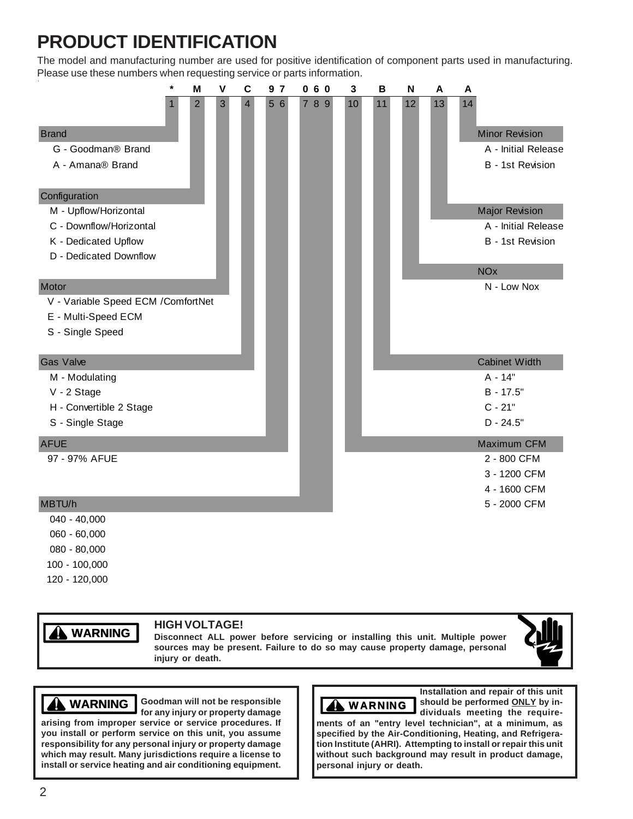## **PRODUCT IDENTIFICATION**

The model and manufacturing number are used for positive identification of component parts used in manufacturing. Please use these numbers when requesting service or parts information.

|                                     | $\star$ | M              | V | $\mathbf c$    | 9 <sub>7</sub> | 060 | 3  | B  | N  | A  | A                     |
|-------------------------------------|---------|----------------|---|----------------|----------------|-----|----|----|----|----|-----------------------|
|                                     |         | $\overline{c}$ | 3 | $\overline{4}$ | 5 6            | 789 | 10 | 11 | 12 | 13 | 14                    |
| <b>Brand</b>                        |         |                |   |                |                |     |    |    |    |    | <b>Minor Revision</b> |
| G - Goodman® Brand                  |         |                |   |                |                |     |    |    |    |    | A - Initial Release   |
| A - Amana® Brand                    |         |                |   |                |                |     |    |    |    |    | B - 1st Revision      |
| Configuration                       |         |                |   |                |                |     |    |    |    |    |                       |
| M - Upflow/Horizontal               |         |                |   |                |                |     |    |    |    |    | <b>Major Revision</b> |
| C - Downflow/Horizontal             |         |                |   |                |                |     |    |    |    |    | A - Initial Release   |
| K - Dedicated Upflow                |         |                |   |                |                |     |    |    |    |    | B - 1st Revision      |
| D - Dedicated Downflow              |         |                |   |                |                |     |    |    |    |    |                       |
|                                     |         |                |   |                |                |     |    |    |    |    | <b>NO<sub>x</sub></b> |
| Motor                               |         |                |   |                |                |     |    |    |    |    | N - Low Nox           |
| V - Variable Speed ECM / ComfortNet |         |                |   |                |                |     |    |    |    |    |                       |
| E - Multi-Speed ECM                 |         |                |   |                |                |     |    |    |    |    |                       |
| S - Single Speed                    |         |                |   |                |                |     |    |    |    |    |                       |
| <b>Gas Valve</b>                    |         |                |   |                |                |     |    |    |    |    | <b>Cabinet Width</b>  |
| M - Modulating                      |         |                |   |                |                |     |    |    |    |    | A - 14"               |
| V - 2 Stage                         |         |                |   |                |                |     |    |    |    |    | B - 17.5"             |
| H - Convertible 2 Stage             |         |                |   |                |                |     |    |    |    |    | $C - 21"$             |
| S - Single Stage                    |         |                |   |                |                |     |    |    |    |    | $D - 24.5"$           |
| <b>AFUE</b>                         |         |                |   |                |                |     |    |    |    |    | Maximum CFM           |
| 97 - 97% AFUE                       |         |                |   |                |                |     |    |    |    |    | 2 - 800 CFM           |
|                                     |         |                |   |                |                |     |    |    |    |    | 3 - 1200 CFM          |
|                                     |         |                |   |                |                |     |    |    |    |    | 4 - 1600 CFM          |
| MBTU/h                              |         |                |   |                |                |     |    |    |    |    | 5 - 2000 CFM          |
| $040 - 40,000$                      |         |                |   |                |                |     |    |    |    |    |                       |
| 060 - 60,000                        |         |                |   |                |                |     |    |    |    |    |                       |

- 080 80,000
- 100 100,000
- 120 120,000

# **WARNING**

### **HIGH VOLTAGE!**

**Disconnect ALL power before servicing or installing this unit. Multiple power sources may be present. Failure to do so may cause property damage, personal injury or death.**



### **WARNING WARNING**

Goodman will not be responsible **NAMIG for any injury or property damage**

**arising from improper service or service procedures. If you install or perform service on this unit, you assume responsibility for any personal injury or property damage which may result. Many jurisdictions require a license to install or service heating and air conditioning equipment.**



**Installation and repair of this unit should be performed ONLY by individuals meeting the require-**

**ments of an "entry level technician", at a minimum, as specified by the Air-Conditioning, Heating, and Refrigeration Institute (AHRI). Attempting to install or repair this unit without such background may result in product damage, personal injury or death.**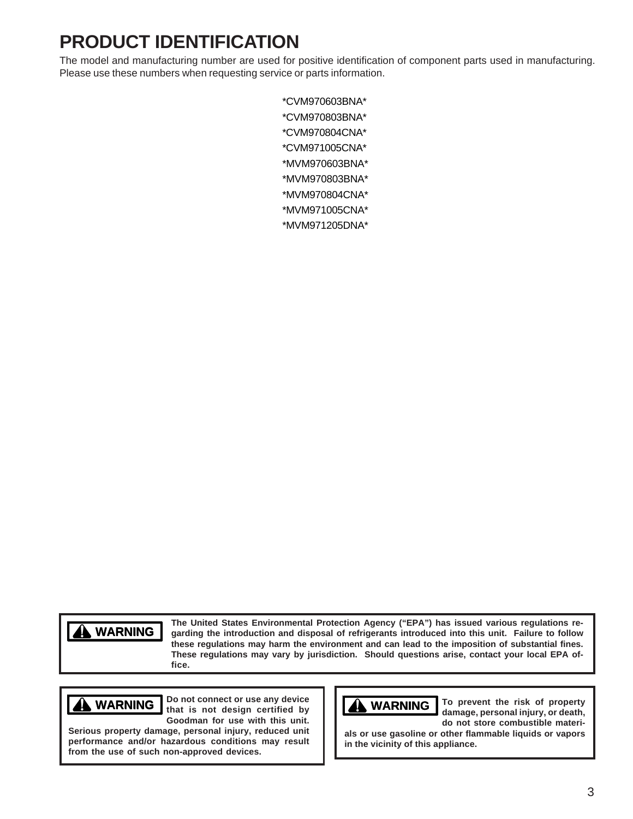## **PRODUCT IDENTIFICATION**

The model and manufacturing number are used for positive identification of component parts used in manufacturing. Please use these numbers when requesting service or parts information.

> \*CVM970603BNA\* \*CVM970803BNA\* \*CVM970804CNA\* \*CVM971005CNA\* \*MVM970603BNA\* \*MVM970803BNA\* \*MVM970804CNA\* \*MVM971005CNA\* \*MVM971205DNA\*

### **WARNING WARNING**

**The United States Environmental Protection Agency ("EPA") has issued various regulations regarding the introduction and disposal of refrigerants introduced into this unit. Failure to follow these regulations may harm the environment and can lead to the imposition of substantial fines. These regulations may vary by jurisdiction. Should questions arise, contact your local EPA office.**

### **WARNING**

**Do not connect or use any device that is not design certified by Goodman for use with this unit.**

**Serious property damage, personal injury, reduced unit performance and/or hazardous conditions may result from the use of such non-approved devices.**



**To prevent the risk of property damage, personal injury, or death, do not store combustible materi-**

**als or use gasoline or other flammable liquids or vapors in the vicinity of this appliance.**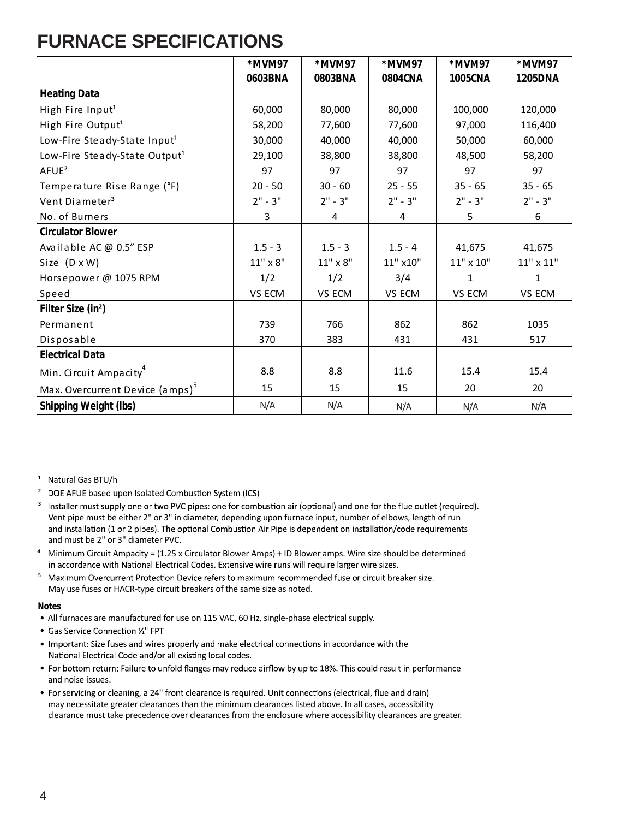### **FURNACE SPECIFICATIONS**

|                                             | *MVM97       | *MVM97    | *MVM97    | *MVM97         | *MVM97    |
|---------------------------------------------|--------------|-----------|-----------|----------------|-----------|
|                                             | 0603BNA      | 0803BNA   | 0804CNA   | <b>1005CNA</b> | 1205DNA   |
| <b>Heating Data</b>                         |              |           |           |                |           |
| High Fire Input <sup>1</sup>                | 60,000       | 80,000    | 80,000    | 100,000        | 120,000   |
| High Fire Output <sup>1</sup>               | 58,200       | 77,600    | 77,600    | 97,000         | 116,400   |
| Low-Fire Steady-State Input <sup>1</sup>    | 30,000       | 40,000    | 40,000    | 50,000         | 60,000    |
| Low-Fire Steady-State Output <sup>1</sup>   | 29,100       | 38,800    | 38,800    | 48,500         | 58,200    |
| AFUE <sup>2</sup>                           | 97           | 97        | 97        | 97             | 97        |
| Temperature Rise Range (°F)                 | $20 - 50$    | $30 - 60$ | $25 - 55$ | $35 - 65$      | $35 - 65$ |
| Vent Diameter <sup>3</sup>                  | $2" - 3"$    | $2" - 3"$ | $2" - 3"$ | $2" - 3"$      | $2" - 3"$ |
| No. of Burners                              | 3            | 4         | 4         | 5              | 6         |
| <b>Circulator Blower</b>                    |              |           |           |                |           |
| Available AC @ 0.5" ESP                     | $1.5 - 3$    | $1.5 - 3$ | $1.5 - 4$ | 41,675         | 41,675    |
| Size $(D \times W)$                         | $11"$ x $8"$ | 11" x 8"  | 11" x10"  | 11" x 10"      | 11" x 11" |
| Horsepower @ 1075 RPM                       | 1/2          | 1/2       | 3/4       | 1              | 1         |
| Speed                                       | VS ECM       | VS ECM    | VS ECM    | VS ECM         | VS ECM    |
| Filter Size (in <sup>2</sup> )              |              |           |           |                |           |
| Permanent                                   | 739          | 766       | 862       | 862            | 1035      |
| Disposable                                  | 370          | 383       | 431       | 431            | 517       |
| <b>Electrical Data</b>                      |              |           |           |                |           |
| Min. Circuit Ampacity <sup>4</sup>          | 8.8          | 8.8       | 11.6      | 15.4           | 15.4      |
| Max. Overcurrent Device (amps) <sup>5</sup> | 15           | 15        | 15        | 20             | 20        |
| <b>Shipping Weight (lbs)</b>                | N/A          | N/A       | N/A       | N/A            | N/A       |

<sup>1</sup> Natural Gas BTU/h

- <sup>2</sup> DOE AFUE based upon Isolated Combustion System (ICS)
- <sup>3</sup> Installer must supply one or two PVC pipes: one for combustion air (optional) and one for the flue outlet (required). Vent pipe must be either 2" or 3" in diameter, depending upon furnace input, number of elbows, length of run and installation (1 or 2 pipes). The optional Combustion Air Pipe is dependent on installation/code requirements and must be 2" or 3" diameter PVC.
- ⁴ Minimum Circuit Ampacity = (1.25 x Circulator Blower Amps) + ID Blower amps. Wire size should be determined in accordance with National Electrical Codes. Extensive wire runs will require larger wire sizes.
- <sup>5</sup> Maximum Overcurrent Protection Device refers to maximum recommended fuse or circuit breaker size. May use fuses or HACR-type circuit breakers of the same size as noted.

- All furnaces are manufactured for use on 115 VAC, 60 Hz, single-phase electrical supply.
- Gas Service Connection 1/2" FPT
- . Important: Size fuses and wires properly and make electrical connections in accordance with the National Electrical Code and/or all existing local codes.
- For bottom return: Failure to unfold flanges may reduce airflow by up to 18%. This could result in performance and noise issues.
- For servicing or cleaning, a 24" front clearance is required. Unit connections (electrical, flue and drain) may necessitate greater clearances than the minimum clearances listed above. In all cases, accessibility clearance must take precedence over clearances from the enclosure where accessibility clearances are greater.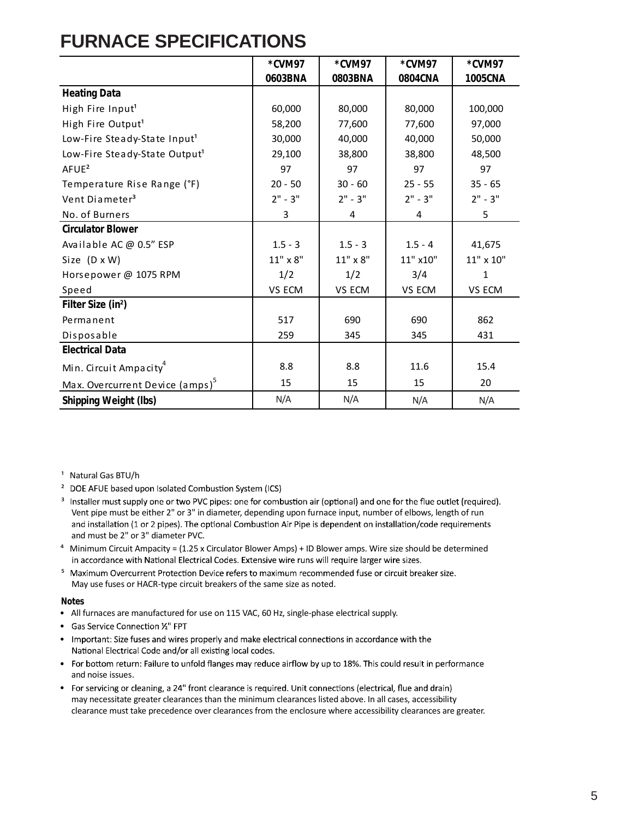### **FURNACE SPECIFICATIONS**

|                                             | *CVM97    | *CVM97          | *CVM97    | *CVM97    |
|---------------------------------------------|-----------|-----------------|-----------|-----------|
|                                             | 0603BNA   | 0803BNA         | 0804CNA   | 1005CNA   |
| <b>Heating Data</b>                         |           |                 |           |           |
| High Fire Input <sup>1</sup>                | 60,000    | 80,000          | 80,000    | 100,000   |
| High Fire Output <sup>1</sup>               | 58,200    | 77,600          | 77,600    | 97,000    |
| Low-Fire Steady-State Input <sup>1</sup>    | 30,000    | 40,000          | 40,000    | 50,000    |
| Low-Fire Steady-State Output <sup>1</sup>   | 29,100    | 38,800          | 38,800    | 48,500    |
| AFUE <sup>2</sup>                           | 97        | 97              | 97        | 97        |
| Temperature Rise Range (°F)                 | $20 - 50$ | $30 - 60$       | $25 - 55$ | $35 - 65$ |
| Vent Diameter <sup>3</sup>                  | $2" - 3"$ | $2" - 3"$       | $2" - 3"$ | $2" - 3"$ |
| No. of Burners                              | 3         | 4               | 4         | 5         |
| <b>Circulator Blower</b>                    |           |                 |           |           |
| Available AC @ 0.5" ESP                     | $1.5 - 3$ | $1.5 - 3$       | $1.5 - 4$ | 41,675    |
| Size (D x W)                                | 11" x 8"  | $11" \times 8"$ | 11" x10"  | 11" x 10" |
| Horsepower @ 1075 RPM                       | 1/2       | 1/2             | 3/4       | 1         |
| Speed                                       | VS ECM    | VS ECM          | VS ECM    | VS ECM    |
| Filter Size (in <sup>2</sup> )              |           |                 |           |           |
| Permanent                                   | 517       | 690             | 690       | 862       |
| Disposable                                  | 259       | 345             | 345       | 431       |
| <b>Electrical Data</b>                      |           |                 |           |           |
| Min. Circuit Ampacity <sup>4</sup>          | 8.8       | 8.8             | 11.6      | 15.4      |
| Max. Overcurrent Device (amps) <sup>5</sup> | 15        | 15              | 15        | 20        |
| <b>Shipping Weight (lbs)</b>                | N/A       | N/A             | N/A       | N/A       |

<sup>1</sup> Natural Gas BTU/h

- <sup>2</sup> DOE AFUE based upon Isolated Combustion System (ICS)
- <sup>3</sup> Installer must supply one or two PVC pipes: one for combustion air (optional) and one for the flue outlet (required). Vent pipe must be either 2" or 3" in diameter, depending upon furnace input, number of elbows, length of run and installation (1 or 2 pipes). The optional Combustion Air Pipe is dependent on installation/code requirements and must be 2" or 3" diameter PVC.
- ⁴ Minimum Circuit Ampacity = (1.25 x Circulator Blower Amps) + ID Blower amps. Wire size should be determined in accordance with National Electrical Codes. Extensive wire runs will require larger wire sizes.
- <sup>5</sup> Maximum Overcurrent Protection Device refers to maximum recommended fuse or circuit breaker size. May use fuses or HACR-type circuit breakers of the same size as noted.

- All furnaces are manufactured for use on 115 VAC, 60 Hz, single-phase electrical supply.
- Gas Service Connection 1/2" FPT
- Important: Size fuses and wires properly and make electrical connections in accordance with the National Electrical Code and/or all existing local codes.
- For bottom return: Failure to unfold flanges may reduce airflow by up to 18%. This could result in performance and noise issues.
- For servicing or cleaning, a 24" front clearance is required. Unit connections (electrical, flue and drain) may necessitate greater clearances than the minimum clearances listed above. In all cases, accessibility clearance must take precedence over clearances from the enclosure where accessibility clearances are greater.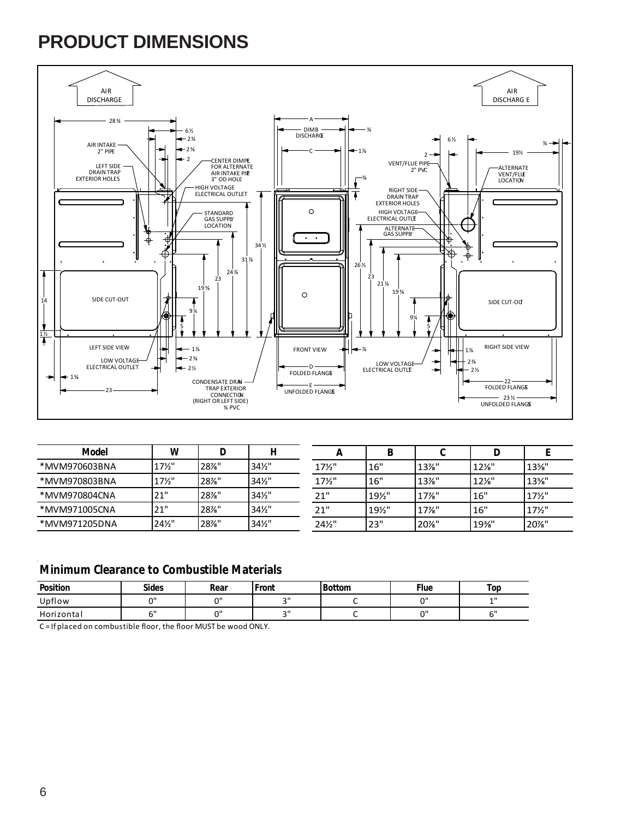### **PRODUCT DIMENSIONS**



| Model         | w                 |      |                 | л               |      |          |                 |                 |
|---------------|-------------------|------|-----------------|-----------------|------|----------|-----------------|-----------------|
| *MVM970603BNA | $17\frac{1}{2}$   | 28%" | $34\frac{1}{2}$ | $17\frac{1}{2}$ | 16"  | $13\%$ " | $12\frac{1}{8}$ | $13\%$ "        |
| *MVM970803BNA | $17\frac{1}{2}$   | 28%" | $34\frac{1}{2}$ | 17½"            | 16"  | $13\%$ " | $12\frac{1}{8}$ | $13\%$ "        |
| *MVM970804CNA | 21"               | 28%" | $34\frac{1}{2}$ | 21"             | 19%" | $17%$ "  | 16"             | $17\frac{1}{2}$ |
| *MVM971005CNA | 21"               | 28%" | $34\frac{1}{2}$ | 21"             | 19%" | $17\%$ " | 16"             | $17\frac{1}{2}$ |
| *MVM971205DNA | $24\frac{1}{2}$ " | 28%" | $34\frac{1}{2}$ | 241/2"          | 23"  | 20%"     | 19%             | 20%"            |

### **Minimum Clearance to Combustible Materials**

| Position   | <b>Sides</b> | Rear   | Front  | <b>Bottom</b> | Flue   | Top |
|------------|--------------|--------|--------|---------------|--------|-----|
| Upflow     | $\sim$       | $\sim$ | $\sim$ |               | $\sim$ | 11  |
| Horizontal | <b>- 11</b>  | $\sim$ | $\sim$ |               | $\sim$ |     |

C = If placed on combustible floor, the floor MUST be wood ONLY.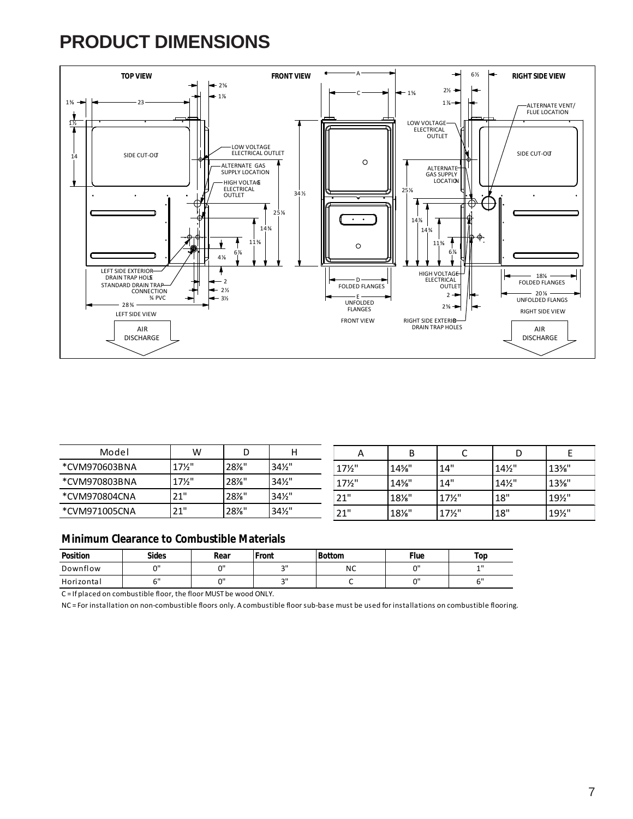### **PRODUCT DIMENSIONS**



| Model         | W               |      |                 |                 |          |                 |                 |                 |
|---------------|-----------------|------|-----------------|-----------------|----------|-----------------|-----------------|-----------------|
| *CVM970603BNA | $17\frac{1}{2}$ | 28%" | $34\frac{1}{2}$ | $17\frac{1}{2}$ | 14%"     | 14"             | $14\frac{1}{2}$ | $13\%$ "        |
| *CVM970803BNA | $17\frac{1}{2}$ | 28%" | $34\frac{1}{2}$ | $17\frac{1}{2}$ | $14\%$ " | 14"             | $14\frac{1}{2}$ | $13\%$ "        |
| *CVM970804CNA | 21"             | 28%" | $34\frac{1}{2}$ | 21"             | $18\%$ " | $17\frac{1}{2}$ | 18"             | $19\frac{1}{2}$ |
| *CVM971005CNA | 21"             | 28%" | $34\frac{1}{2}$ | 21"             | $18\%$ " | $17\frac{1}{2}$ | 18"             | 19%"            |

#### **Minimum Clearance to Combustible Materials**

| Position   | <b>Sides</b> | Rear      | ront   | <b>Bottom</b> | Flue   | Top    |
|------------|--------------|-----------|--------|---------------|--------|--------|
| Downflow   | $\sim$       | $\sim$ II | $\sim$ | <b>NC</b>     | $\sim$ | 11     |
| Horizontal | $\sim$       | $\sim$ II | $\sim$ |               | $\sim$ | $\sim$ |

C = If placed on combustible floor, the floor MUST be wood ONLY.

NC = For installation on non-combustible floors only. A combustible floor sub-base must be used for installations on combustible flooring.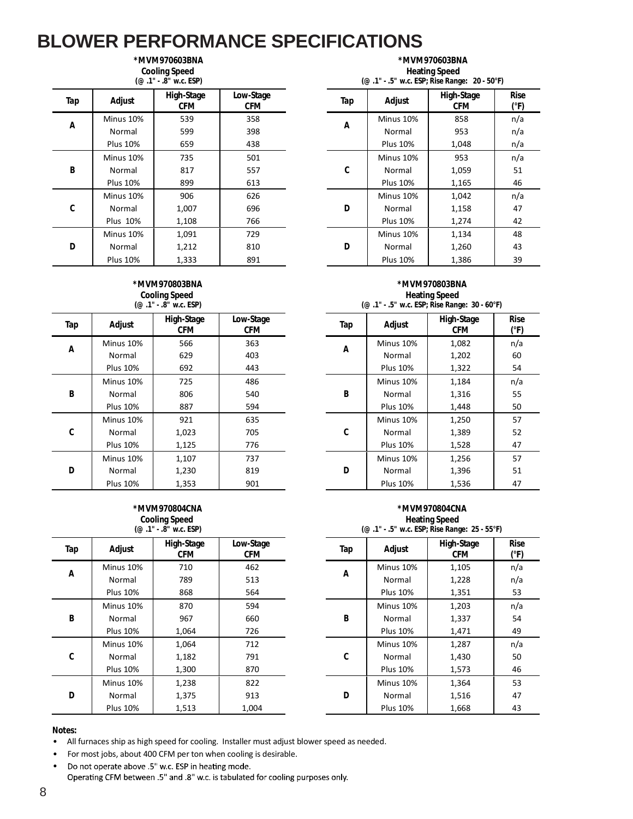|     |                 | <b>Cooling Speed</b><br>(@ .1" - .8" w.c. ESP) |                         |     |                 | <b>Heating Speed</b><br>(@ .1" - .5" w.c. ESP; Rise Range: 20 - 50°F) |                     |
|-----|-----------------|------------------------------------------------|-------------------------|-----|-----------------|-----------------------------------------------------------------------|---------------------|
| Tap | Adjust          | High-Stage<br><b>CFM</b>                       | Low-Stage<br><b>CFM</b> | Tap | Adjust          | High-Stage<br><b>CFM</b>                                              | <b>Rise</b><br>(°F) |
| A   | Minus 10%       | 539                                            | 358                     |     | Minus 10%       | 858                                                                   | n/a                 |
|     | Normal          | 599                                            | 398                     | A   | Normal          | 953                                                                   | n/a                 |
|     | <b>Plus 10%</b> | 659                                            | 438                     |     | <b>Plus 10%</b> | 1,048                                                                 | n/a                 |
|     | Minus 10%       | 735                                            | 501                     |     | Minus 10%       | 953                                                                   | n/a                 |
| B   | Normal          | 817                                            | 557                     | C   | Normal          | 1,059                                                                 | 51                  |
|     | <b>Plus 10%</b> | 899                                            | 613                     |     | <b>Plus 10%</b> | 1,165                                                                 | 46                  |
|     | Minus 10%       | 906                                            | 626                     |     | Minus 10%       | 1,042                                                                 | n/a                 |
| C   | Normal          | 1,007                                          | 696                     | D   | Normal          | 1,158                                                                 | 47                  |
|     | <b>Plus 10%</b> | 1,108                                          | 766                     |     | <b>Plus 10%</b> | 1,274                                                                 | 42                  |
|     | Minus 10%       | 1,091                                          | 729                     |     | Minus 10%       | 1,134                                                                 | 48                  |
| D   | Normal          | 1,212                                          | 810                     | D   | Normal          | 1,260                                                                 | 43                  |
|     | <b>Plus 10%</b> | 1,333                                          | 891                     |     | <b>Plus 10%</b> | 1,386                                                                 | 39                  |

**\*MVM970603BNA**

#### **\*MVM970803BNA Cooling Speed (@ .1" - .8" w.c. ESP)**

|     |                 | $\sim$ $\cdots$          |                         |     |                 |                          |                     |
|-----|-----------------|--------------------------|-------------------------|-----|-----------------|--------------------------|---------------------|
| Tap | Adjust          | High-Stage<br><b>CFM</b> | Low-Stage<br><b>CFM</b> | Tap | Adjust          | High-Stage<br><b>CFM</b> | <b>Rise</b><br>(°F) |
| Α   | Minus 10%       | 566                      | 363                     |     | Minus 10%       | 1,082                    | n/a                 |
|     | Normal          | 629                      | 403                     | A   | Normal          | 1,202                    | 60                  |
|     | <b>Plus 10%</b> | 692                      | 443                     |     | <b>Plus 10%</b> | 1,322                    | 54                  |
|     | Minus 10%       | 725                      | 486                     |     | Minus 10%       | 1,184                    | n/a                 |
| B   | Normal          | 806                      | 540                     | B   | Normal          | 1,316                    | 55                  |
|     | <b>Plus 10%</b> | 887                      | 594                     |     | <b>Plus 10%</b> | 1,448                    | 50                  |
|     | Minus 10%       | 921                      | 635                     |     | Minus 10%       | 1,250                    | 57                  |
| C   | Normal          | 1,023                    | 705                     | C   | Normal          | 1,389                    | 52                  |
|     | <b>Plus 10%</b> | 1,125                    | 776                     |     | <b>Plus 10%</b> | 1,528                    | 47                  |
|     | Minus 10%       | 1,107                    | 737                     |     | Minus 10%       | 1,256                    | 57                  |
| D   | Normal          | 1,230                    | 819                     | D   | Normal          | 1,396                    | 51                  |
|     | <b>Plus 10%</b> | 1,353                    | 901                     |     | <b>Plus 10%</b> | 1,536                    | 47                  |

#### **\*MVM970804CNA Cooling Speed**

|     |                 | $(@.1"$ $-$ .8" w.c. ESP) |                         |     |                 | (@ .1" - .5" w.c. ESP; Rise Range: 25 - 55°F) |                     |
|-----|-----------------|---------------------------|-------------------------|-----|-----------------|-----------------------------------------------|---------------------|
| Tap | Adjust          | High-Stage<br><b>CFM</b>  | Low-Stage<br><b>CFM</b> | Tap | Adjust          | High-Stage<br><b>CFM</b>                      | <b>Rise</b><br>(°F) |
|     | Minus 10%       | 710                       | 462                     |     | Minus 10%       | 1,105                                         | n/a                 |
| Α   | Normal          | 789                       | 513                     | Α   | Normal          | 1,228                                         | n/a                 |
|     | <b>Plus 10%</b> | 868                       | 564                     |     | <b>Plus 10%</b> | 1,351                                         | 53                  |
|     | Minus 10%       | 870                       | 594                     |     | Minus 10%       | 1,203                                         | n/a                 |
| B   | Normal          | 967                       | 660                     | B   | Normal          | 1,337                                         | 54                  |
|     | <b>Plus 10%</b> | 1,064                     | 726                     |     | <b>Plus 10%</b> | 1,471                                         | 49                  |
|     | Minus 10%       | 1,064                     | 712                     |     | Minus 10%       | 1,287                                         | n/a                 |
| C   | Normal          | 1,182                     | 791                     | C   | Normal          | 1,430                                         | 50                  |
|     | <b>Plus 10%</b> | 1,300                     | 870                     |     | <b>Plus 10%</b> | 1,573                                         | 46                  |
|     | Minus 10%       | 1,238                     | 822                     |     | Minus 10%       | 1,364                                         | 53                  |
| D   | Normal          | 1,375                     | 913                     | D   | Normal          | 1,516                                         | 47                  |
|     | <b>Plus 10%</b> | 1,513                     | 1,004                   |     | <b>Plus 10%</b> | 1,668                                         | 43                  |

**\*MVM970603BNA Heating Speed (@ .1" - .5" w.c. ESP; Rise Range: 20 - 50°F)**

| High-Stage<br><b>CFM</b> | Low-Stage<br><b>CFM</b> | Tap | Adjust          | High-Stage<br><b>CFM</b> | <b>Rise</b><br>$(^{\circ}F)$ |
|--------------------------|-------------------------|-----|-----------------|--------------------------|------------------------------|
| 539                      | 358                     |     | Minus 10%       | 858                      | n/a                          |
| 599                      | 398                     |     | Normal          | 953                      | n/a                          |
| 659                      | 438                     |     | <b>Plus 10%</b> | 1,048                    | n/a                          |
| 735                      | 501                     |     | Minus 10%       | 953                      | n/a                          |
| 817                      | 557                     | C   | Normal          | 1,059                    | 51                           |
| 899                      | 613                     |     | <b>Plus 10%</b> | 1,165                    | 46                           |
| 906                      | 626                     |     | Minus 10%       | 1,042                    | n/a                          |
| 1,007                    | 696                     | D   | Normal          | 1,158                    | 47                           |
| 1,108                    | 766                     |     | <b>Plus 10%</b> | 1,274                    | 42                           |
| 1,091                    | 729                     |     | Minus 10%       | 1,134                    | 48                           |
| 1,212                    | 810                     | D   | Normal          | 1,260                    | 43                           |
| 1,333                    | 891                     |     | <b>Plus 10%</b> | 1,386                    | 39                           |
|                          |                         |     | A               |                          |                              |

#### **\*MVM970803BNA Heating Speed (@ .1" - .5" w.c. ESP; Rise Range: 30 - 60°F)**

| Adjust          | High-Stage<br><b>CFM</b> | Low-Stage<br><b>CFM</b> | Tap | Adjust          | High-Stage<br><b>CFM</b> | <b>Rise</b><br>(°F) |
|-----------------|--------------------------|-------------------------|-----|-----------------|--------------------------|---------------------|
| linus 10%       | 566                      | 363                     | A   | Minus 10%       | 1,082                    | n/a                 |
| Normal          | 629                      | 403                     |     | Normal          | 1,202                    | 60                  |
| <b>Plus 10%</b> | 692                      | 443                     |     | <b>Plus 10%</b> | 1,322                    | 54                  |
| 1inus 10%       | 725                      | 486                     |     | Minus 10%       | 1,184                    | n/a                 |
| Normal          | 806                      | 540                     | B   | Normal          | 1,316                    | 55                  |
| <b>Plus 10%</b> | 887                      | 594                     |     | <b>Plus 10%</b> | 1,448                    | 50                  |
| 1inus 10%       | 921                      | 635                     |     | Minus 10%       | 1,250                    | 57                  |
| Normal          | 1,023                    | 705                     | C   | Normal          | 1,389                    | 52                  |
| Plus 10%        | 1,125                    | 776                     |     | <b>Plus 10%</b> | 1,528                    | 47                  |
| 1inus 10%       | 1,107                    | 737                     |     | Minus 10%       | 1,256                    | 57                  |
| Normal          | 1,230                    | 819                     | D   | Normal          | 1,396                    | 51                  |
| <b>Plus 10%</b> | 1,353                    | 901                     |     | <b>Plus 10%</b> | 1,536                    | 47                  |

#### **\*MVM970804CNA Heating Speed (@ .1" - .5" w.c. ESP; Rise Range: 25 - 55°F)**

| Adjust          | High-Stage<br><b>CFM</b> | Low-Stage<br>CFM | Tap | Adjust          | High-Stage<br><b>CFM</b> | <b>Rise</b><br>(°F) |  |  |
|-----------------|--------------------------|------------------|-----|-----------------|--------------------------|---------------------|--|--|
| linus 10%       | 710                      | 462              |     | Minus 10%       | 1,105                    | n/a                 |  |  |
| Normal          | 789                      | 513              | A   | Normal          | 1,228                    | n/a                 |  |  |
| <b>Plus 10%</b> | 868                      | 564              |     | <b>Plus 10%</b> | 1,351                    | 53                  |  |  |
| 1inus 10%       | 870                      | 594              |     | Minus 10%       | 1,203                    | n/a                 |  |  |
| Normal          | 967                      | 660              | B   | Normal          | 1,337                    | 54                  |  |  |
| Plus 10%        | 1,064                    | 726              |     | <b>Plus 10%</b> | 1,471                    | 49                  |  |  |
| 1inus 10%       | 1,064                    | 712              |     | Minus 10%       | 1,287                    | n/a                 |  |  |
| Normal          | 1,182                    | 791              | C   | Normal          | 1,430                    | 50                  |  |  |
| Plus 10%        | 1,300                    | 870              |     | <b>Plus 10%</b> | 1,573                    | 46                  |  |  |
| 1inus 10%       | 1,238                    | 822              |     | Minus 10%       | 1,364                    | 53                  |  |  |
| Normal          | 1,375                    | 913              | D   | Normal          | 1,516                    | 47                  |  |  |
| <b>Plus 10%</b> | 1,513                    | 1,004            |     | <b>Plus 10%</b> | 1,668                    | 43                  |  |  |

#### **Notes:**

• All furnaces ship as high speed for cooling. Installer must adjust blower speed as needed.

- For most jobs, about 400 CFM per ton when cooling is desirable.
- Do not operate above .5" w.c. ESP in heating mode. •Operating CFM between .5" and .8" w.c. is tabulated for cooling purposes only.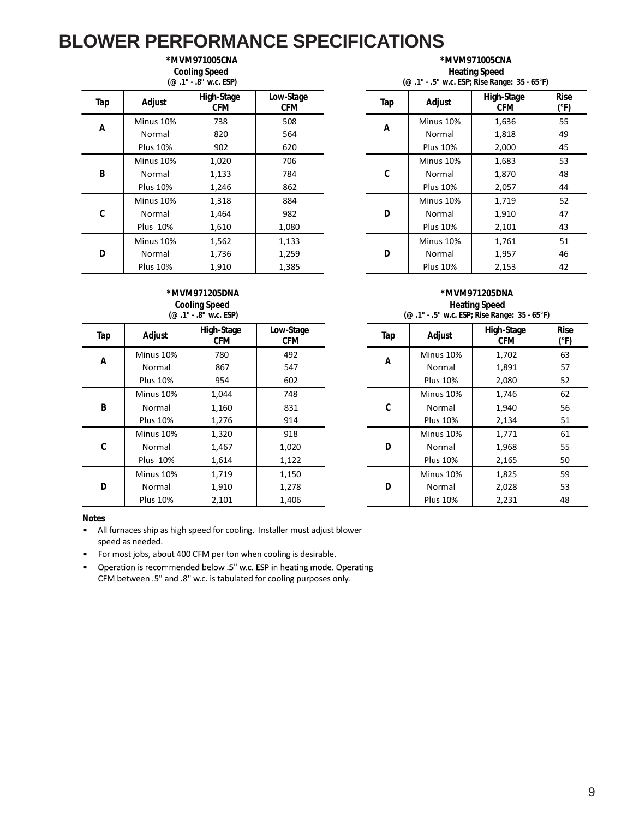### **\*MVM971005CNA**

**Cooling Speed**

|     |                 | $(@.1" - .8"$ w.c. ESP)  |                         | (@ .1" - .5" w.c. ESP; Rise Range: 35 - 65°F) |                 |                          |                   |  |
|-----|-----------------|--------------------------|-------------------------|-----------------------------------------------|-----------------|--------------------------|-------------------|--|
| Tap | Adjust          | High-Stage<br><b>CFM</b> | Low-Stage<br><b>CFM</b> | Tap                                           | Adjust          | High-Stage<br><b>CFM</b> | <b>Ris</b><br>(°F |  |
|     | Minus 10%       | 738                      | 508                     |                                               | Minus 10%       | 1,636                    | 55                |  |
| А   | Normal          | 820                      | 564                     | Α                                             | Normal          | 1,818                    | 49                |  |
|     | <b>Plus 10%</b> | 902                      | 620                     |                                               | <b>Plus 10%</b> | 2,000                    | 45                |  |
|     | Minus 10%       | 1,020                    | 706                     |                                               | Minus 10%       | 1,683                    | 53                |  |
| B   | Normal          | 1,133                    | 784                     | C                                             | Normal          | 1,870                    | 48                |  |
|     | <b>Plus 10%</b> | 1,246                    | 862                     |                                               | <b>Plus 10%</b> | 2,057                    | 44                |  |
|     | Minus 10%       | 1,318                    | 884                     |                                               | Minus 10%       | 1,719                    | 52                |  |
| C   | Normal          | 1,464                    | 982                     | D                                             | Normal          | 1,910                    | 47                |  |
|     | <b>Plus 10%</b> | 1,610                    | 1,080                   |                                               | <b>Plus 10%</b> | 2,101                    | 43                |  |
|     | Minus 10%       | 1,562                    | 1,133                   |                                               | Minus 10%       | 1,761                    | 51                |  |
| D   | Normal          | 1,736                    | 1,259                   | D                                             | Normal          | 1,957                    | 46                |  |
|     | <b>Plus 10%</b> | 1,910                    | 1,385                   |                                               | <b>Plus 10%</b> | 2,153                    | 42                |  |

**\*MVM971005CNA Heating Speed (@ .1" - .5" w.c. ESP; Rise Range: 35 - 65°F)**

| Adjust          | High-Stage<br><b>CFM</b> | Low-Stage<br><b>CFM</b> | Tap | Adjust          | High-Stage<br><b>CFM</b> | <b>Rise</b><br>$(^{\circ}F)$ |
|-----------------|--------------------------|-------------------------|-----|-----------------|--------------------------|------------------------------|
| Minus 10%       | 738                      | 508                     |     | Minus 10%       | 1,636                    | 55                           |
| Normal          | 820                      | 564                     | A   | Normal          | 1,818                    | 49                           |
| <b>Plus 10%</b> | 902                      | 620                     |     | <b>Plus 10%</b> | 2,000                    | 45                           |
| Minus 10%       | 1,020                    | 706                     |     | Minus 10%       | 1,683                    | 53                           |
| Normal          | 1,133                    | 784                     | C   | Normal          | 1,870                    | 48                           |
| <b>Plus 10%</b> | 1,246                    | 862                     |     | <b>Plus 10%</b> | 2,057                    | 44                           |
| Minus 10%       | 1,318                    | 884                     |     | Minus 10%       | 1,719                    | 52                           |
| Normal          | 1,464                    | 982                     | D   | Normal          | 1,910                    | 47                           |
| Plus 10%        | 1,610                    | 1,080                   |     | <b>Plus 10%</b> | 2,101                    | 43                           |
| Minus 10%       | 1,562                    | 1,133                   |     | Minus 10%       | 1,761                    | 51                           |
| Normal          | 1,736                    | 1,259                   | D   | Normal          | 1,957                    | 46                           |
| <b>Plus 10%</b> | 1,910                    | 1,385                   |     | <b>Plus 10%</b> | 2,153                    | 42                           |

#### **\*MVM971205DNA Cooling Speed (@ .1" - .8" w.c. ESP)**

| Tap | Adjust          | High-Stage<br><b>CFM</b> | Low-Stage<br>CFM | Tap | Adjust          | High-Stage<br><b>CFM</b> | <b>Ris</b><br>(°F |
|-----|-----------------|--------------------------|------------------|-----|-----------------|--------------------------|-------------------|
|     | Minus 10%       | 780                      | 492              |     | Minus 10%       | 1,702                    | 63                |
| Α   | Normal          | 867                      | 547              | Α   | Normal          | 1,891                    | 57                |
|     | <b>Plus 10%</b> | 954                      | 602              |     | <b>Plus 10%</b> | 2,080                    | 52                |
|     | Minus 10%       | 1,044                    | 748              |     | Minus 10%       | 1,746                    | 62                |
| B   | Normal          | 1,160                    | 831              | C   | Normal          | 1,940                    | 56                |
|     | <b>Plus 10%</b> | 1,276                    | 914              |     | <b>Plus 10%</b> | 2,134                    | 51                |
|     | Minus 10%       | 1,320                    | 918              |     | Minus 10%       | 1,771                    | 61                |
| C   | Normal          | 1,467                    | 1,020            | D   | Normal          | 1,968                    | 55                |
|     | <b>Plus 10%</b> | 1,614                    | 1,122            |     | <b>Plus 10%</b> | 2,165                    | 50                |
|     | Minus 10%       | 1,719                    | 1,150            |     | Minus 10%       | 1,825                    | 59                |
| D   | Normal          | 1,910                    | 1,278            | D   | Normal          | 2,028                    | 53                |
|     | <b>Plus 10%</b> | 2,101                    | 1,406            |     | <b>Plus 10%</b> | 2,231                    | 48                |

| *MVM971205DNA                                 |  |
|-----------------------------------------------|--|
| <b>Heating Speed</b>                          |  |
| (@ .1" - .5" w.c. ESP; Rise Range: 35 - 65°F) |  |

| Adjust          | High-Stage<br><b>CFM</b> | Low-Stage<br><b>CFM</b> | Tap | Adjust          | High-Stage<br><b>CFM</b> | <b>Rise</b><br>$(^{\circ}F)$ |
|-----------------|--------------------------|-------------------------|-----|-----------------|--------------------------|------------------------------|
| Minus 10%       | 780                      | 492                     |     | Minus 10%       | 1,702                    | 63                           |
| Normal          | 867                      | 547                     | A   | Normal          | 1,891                    | 57                           |
| <b>Plus 10%</b> | 954                      | 602                     |     | <b>Plus 10%</b> | 2,080                    | 52                           |
| Minus 10%       | 1,044                    | 748                     |     | Minus 10%       | 1,746                    | 62                           |
| Normal          | 1,160                    | 831                     | C   | Normal          | 1,940                    | 56                           |
| <b>Plus 10%</b> | 1,276                    | 914                     |     | <b>Plus 10%</b> | 2,134                    | 51                           |
| Minus 10%       | 1,320                    | 918                     |     | Minus 10%       | 1,771                    | 61                           |
| Normal          | 1,467                    | 1,020                   | D   | Normal          | 1,968                    | 55                           |
| Plus 10%        | 1,614                    | 1,122                   |     | <b>Plus 10%</b> | 2,165                    | 50                           |
| Minus 10%       | 1,719                    | 1,150                   |     | Minus 10%       | 1,825                    | 59                           |
| Normal          | 1,910                    | 1,278                   | D   | Normal          | 2,028                    | 53                           |
| <b>Plus 10%</b> | 2,101                    | 1,406                   |     | <b>Plus 10%</b> | 2,231                    | 48                           |

- All furnaces ship as high speed for cooling. Installer must adjust blower speed as needed.
- For most jobs, about 400 CFM per ton when cooling is desirable.
- Operation is recommended below .5" w.c. ESP in heating mode. Operating • CFM between .5" and .8" w.c. is tabulated for cooling purposes only.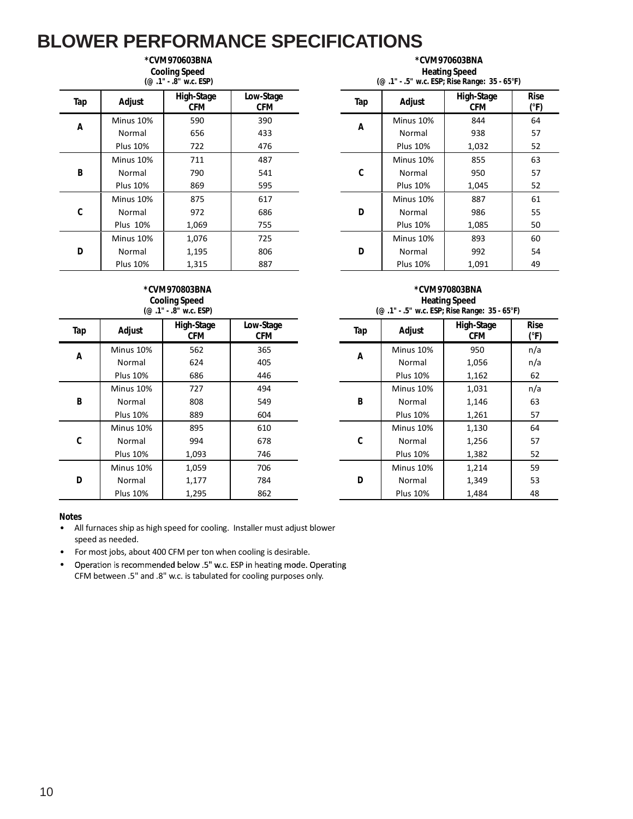#### **\*CVM970603BNA Cooling Speed**

|     |                 | (@ .1" - .8" w.c. ESP)   |                         | (@ .1" - .5" w.c. ESP; Rise Range: 35 - 65°F) |                 |                          |                    |  |
|-----|-----------------|--------------------------|-------------------------|-----------------------------------------------|-----------------|--------------------------|--------------------|--|
| Tap | Adjust          | High-Stage<br><b>CFM</b> | Low-Stage<br><b>CFM</b> | Tap                                           | Adjust          | High-Stage<br><b>CFM</b> | <b>Ris</b><br>(°F) |  |
| Α   | Minus 10%       | 590                      | 390                     |                                               | Minus 10%       | 844                      | 64                 |  |
|     | Normal          | 656                      | 433                     | Α                                             | Normal          | 938                      | 57                 |  |
|     | <b>Plus 10%</b> | 722                      | 476                     |                                               | <b>Plus 10%</b> | 1,032                    | 52                 |  |
|     | Minus 10%       | 711                      | 487                     |                                               | Minus 10%       | 855                      | 63                 |  |
| B   | Normal          | 790                      | 541                     | C                                             | Normal          | 950                      | 57                 |  |
|     | <b>Plus 10%</b> | 869                      | 595                     |                                               | <b>Plus 10%</b> | 1,045                    | 52                 |  |
|     | Minus 10%       | 875                      | 617                     |                                               | Minus 10%       | 887                      | 61                 |  |
| C   | Normal          | 972                      | 686                     | D                                             | Normal          | 986                      | 55                 |  |
|     | <b>Plus 10%</b> | 1,069                    | 755                     |                                               | <b>Plus 10%</b> | 1,085                    | 50                 |  |
|     | Minus 10%       | 1,076                    | 725                     |                                               | Minus 10%       | 893                      | 60                 |  |
| D   | Normal          | 1,195                    | 806                     | D                                             | Normal          | 992                      | 54                 |  |
|     | <b>Plus 10%</b> | 1,315                    | 887                     |                                               | <b>Plus 10%</b> | 1,091                    | 49                 |  |

#### **\*CVM970603BNA Heating Speed (@ .1" - .5" w.c. ESP; Rise Range: 35 - 65°F)**

| Adjust          | High-Stage<br><b>CFM</b> | Low-Stage<br><b>CFM</b> | Tap | Adjust          | High-Stage<br><b>CFM</b> | <b>Rise</b><br>(°F) |
|-----------------|--------------------------|-------------------------|-----|-----------------|--------------------------|---------------------|
| Minus 10%       | 590                      | 390                     | A   | Minus 10%       | 844                      | 64                  |
| Normal          | 656                      | 433                     |     | Normal          | 938                      | 57                  |
| <b>Plus 10%</b> | 722                      | 476                     |     | <b>Plus 10%</b> | 1,032                    | 52                  |
| Minus 10%       | 711                      | 487                     |     | Minus 10%       | 855                      | 63                  |
| Normal          | 790                      | 541                     | C   | Normal          | 950                      | 57                  |
| <b>Plus 10%</b> | 869                      | 595                     |     | <b>Plus 10%</b> | 1,045                    | 52                  |
| Minus 10%       | 875                      | 617                     |     | Minus 10%       | 887                      | 61                  |
| Normal          | 972                      | 686                     | D   | Normal          | 986                      | 55                  |
| Plus 10%        | 1,069                    | 755                     |     | <b>Plus 10%</b> | 1,085                    | 50                  |
| Minus 10%       | 1,076                    | 725                     |     | Minus 10%       | 893                      | 60                  |
| Normal          | 1,195                    | 806                     | D   | Normal          | 992                      | 54                  |
| <b>Plus 10%</b> | 1,315                    | 887                     |     | <b>Plus 10%</b> | 1,091                    | 49                  |

#### **\*CVM970803BNA Cooling Speed (@ .1" - .8" w.c. ESP)**

| Tap      | Adjust          | High-Stage<br><b>CFM</b> | Low-Stage<br><b>CFM</b> | Tap | Adjust          | High-Stage<br><b>CFM</b> | <b>Rise</b><br>(°F) |
|----------|-----------------|--------------------------|-------------------------|-----|-----------------|--------------------------|---------------------|
|          | Minus 10%       | 562                      | 365                     |     | Minus 10%       | 950                      | n/a                 |
| Α        | Normal          | 624                      | 405                     | Α   | Normal          | 1,056                    | n/a                 |
|          | <b>Plus 10%</b> | 686                      | 446                     |     | <b>Plus 10%</b> | 1,162                    | 62                  |
|          | Minus 10%       | 727                      | 494                     |     | Minus 10%       | 1,031                    | n/a                 |
| $\sf{B}$ | Normal          | 808                      | 549                     | B   | Normal          | 1,146                    | 63                  |
|          | <b>Plus 10%</b> | 889                      | 604                     |     | <b>Plus 10%</b> | 1,261                    | 57                  |
|          | Minus 10%       | 895                      | 610                     |     | Minus 10%       | 1,130                    | 64                  |
| C        | Normal          | 994                      | 678                     | C   | Normal          | 1,256                    | 57                  |
|          | <b>Plus 10%</b> | 1,093                    | 746                     |     | <b>Plus 10%</b> | 1,382                    | 52                  |
|          | Minus 10%       | 1,059                    | 706                     |     | Minus 10%       | 1,214                    | 59                  |
| D        | Normal          | 1,177                    | 784                     | D   | Normal          | 1,349                    | 53                  |
|          | <b>Plus 10%</b> | 1,295                    | 862                     |     | <b>Plus 10%</b> | 1,484                    | 48                  |

#### **\*CVM970803BNA Heating Speed (@ .1" - .5" w.c. ESP; Rise Range: 35 - 65°F)**

| Adjust          | High-Stage<br><b>CFM</b> | Low-Stage<br><b>CFM</b> | Tap | Adjust          | High-Stage<br><b>CFM</b> | <b>Rise</b><br>$(^{\circ}F)$ |
|-----------------|--------------------------|-------------------------|-----|-----------------|--------------------------|------------------------------|
| Ainus 10%       | 562                      | 365                     |     | Minus 10%       | 950                      | n/a                          |
| Normal          | 624                      | 405                     | A   | Normal          | 1,056                    | n/a                          |
| <b>Plus 10%</b> | 686                      | 446                     |     | <b>Plus 10%</b> | 1,162                    | 62                           |
| 1inus 10%       | 727                      | 494                     |     | Minus 10%       | 1,031                    | n/a                          |
| Normal          | 808                      | 549                     | B   | Normal          | 1,146                    | 63                           |
| <b>Plus 10%</b> | 889                      | 604                     |     | <b>Plus 10%</b> | 1,261                    | 57                           |
| Ainus 10%       | 895                      | 610                     |     | Minus 10%       | 1,130                    | 64                           |
| Normal          | 994                      | 678                     | C   | Normal          | 1,256                    | 57                           |
| Plus 10%        | 1,093                    | 746                     |     | <b>Plus 10%</b> | 1,382                    | 52                           |
| 1inus 10%       | 1,059                    | 706                     |     | Minus 10%       | 1,214                    | 59                           |
| Normal          | 1,177                    | 784                     | D   | Normal          | 1,349                    | 53                           |
| Plus 10%        | 1,295                    | 862                     |     | <b>Plus 10%</b> | 1,484                    | 48                           |

#### **Notes**

• For most jobs, about 400 CFM per ton when cooling is desirable.

Operation is recommended below .5" w.c. ESP in heating mode. Operating • CFM between .5" and .8" w.c. is tabulated for cooling purposes only.

<sup>•</sup> All furnaces ship as high speed for cooling. Installer must adjust blower speed as needed.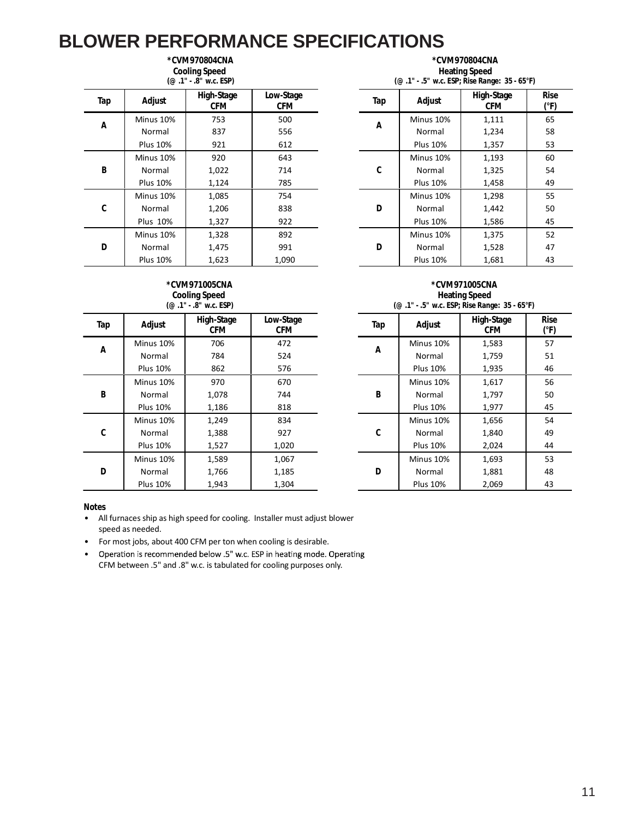#### **\*CVM970804CNA Cooling Speed**

|     |                 | (@ .1" - .8" w.c. ESP)   |                         | (@ .1" - .5" w.c. ESP; Rise Range: 35 - 65°F) |                 |                          |                    |  |
|-----|-----------------|--------------------------|-------------------------|-----------------------------------------------|-----------------|--------------------------|--------------------|--|
| Tap | Adjust          | High-Stage<br><b>CFM</b> | Low-Stage<br><b>CFM</b> | Tap                                           | Adjust          | High-Stage<br><b>CFM</b> | <b>Ris</b><br>(°F) |  |
| Α   | Minus 10%       | 753                      | 500                     | Α                                             | Minus 10%       | 1,111                    | 65                 |  |
|     | Normal          | 837                      | 556                     |                                               | Normal          | 1,234                    | 58                 |  |
|     | <b>Plus 10%</b> | 921                      | 612                     |                                               | <b>Plus 10%</b> | 1,357                    | 53                 |  |
|     | Minus 10%       | 920                      | 643                     |                                               | Minus 10%       | 1,193                    | 60                 |  |
| B   | Normal          | 1,022                    | 714                     | C                                             | Normal          | 1,325                    | 54                 |  |
|     | <b>Plus 10%</b> | 1,124                    | 785                     |                                               | <b>Plus 10%</b> | 1,458                    | 49                 |  |
|     | Minus 10%       | 1,085                    | 754                     |                                               | Minus 10%       | 1,298                    | 55                 |  |
| C   | Normal          | 1,206                    | 838                     | D                                             | Normal          | 1,442                    | 50                 |  |
|     | <b>Plus 10%</b> | 1,327                    | 922                     |                                               | <b>Plus 10%</b> | 1,586                    | 45                 |  |
|     | Minus 10%       | 1,328                    | 892                     |                                               | Minus 10%       | 1,375                    | 52                 |  |
| D   | Normal          | 1,475                    | 991                     | D                                             | Normal          | 1,528                    | 47                 |  |
|     | <b>Plus 10%</b> | 1,623                    | 1,090                   |                                               | <b>Plus 10%</b> | 1,681                    | 43                 |  |

**\*CVM970804CNA Heating Speed**

|                 | (@ .1" - .8" w.c. ESP)   |                  |  | $(\text{\o}$ .1" - .5" w.c. ESP; Rise Range: 35 - 65°F) |                 |                          |                              |  |
|-----------------|--------------------------|------------------|--|---------------------------------------------------------|-----------------|--------------------------|------------------------------|--|
| Adjust          | High-Stage<br><b>CFM</b> | Low-Stage<br>CFM |  | Tap                                                     | Adjust          | High-Stage<br><b>CFM</b> | <b>Rise</b><br>$(^{\circ}F)$ |  |
| Minus 10%       | 753                      | 500              |  | A                                                       | Minus 10%       | 1,111                    | 65                           |  |
| Normal          | 837                      | 556              |  |                                                         | Normal          | 1,234                    | 58                           |  |
| <b>Plus 10%</b> | 921                      | 612              |  |                                                         | <b>Plus 10%</b> | 1,357                    | 53                           |  |
| Minus 10%       | 920                      | 643              |  |                                                         | Minus 10%       | 1,193                    | 60                           |  |
| Normal          | 1,022                    | 714              |  | C                                                       | Normal          | 1,325                    | 54                           |  |
| <b>Plus 10%</b> | 1,124                    | 785              |  |                                                         | <b>Plus 10%</b> | 1,458                    | 49                           |  |
| Minus 10%       | 1,085                    | 754              |  |                                                         | Minus 10%       | 1,298                    | 55                           |  |
| Normal          | 1,206                    | 838              |  | D                                                       | Normal          | 1,442                    | 50                           |  |
| Plus 10%        | 1,327                    | 922              |  |                                                         | <b>Plus 10%</b> | 1,586                    | 45                           |  |
| Minus 10%       | 1,328                    | 892              |  |                                                         | Minus 10%       | 1,375                    | 52                           |  |
| Normal          | 1,475                    | 991              |  | D                                                       | Normal          | 1,528                    | 47                           |  |
| <b>Plus 10%</b> | 1.623                    | 1.090            |  |                                                         | <b>Plus 10%</b> | 1.681                    | 43                           |  |

#### **\*CVM971005CNA Cooling Speed (@ .1" - .8" w.c. ESP)**

| Tap | Adjust          | High-Stage<br><b>CFM</b> | Low-Stage<br><b>CFM</b> | Tap | Adjust          | High-Stage<br><b>CFM</b> | <b>Ris</b><br>(°F) |
|-----|-----------------|--------------------------|-------------------------|-----|-----------------|--------------------------|--------------------|
| Α   | Minus 10%       | 706                      | 472                     | Α   | Minus 10%       | 1,583                    | 57                 |
|     | Normal          | 784                      | 524                     |     | Normal          | 1,759                    | 51                 |
|     | <b>Plus 10%</b> | 862                      | 576                     |     | <b>Plus 10%</b> | 1,935                    | 46                 |
| B   | Minus 10%       | 970                      | 670                     |     | Minus 10%       | 1,617                    | 56                 |
|     | Normal          | 1,078                    | 744                     | B   | Normal          | 1,797                    | 50                 |
|     | <b>Plus 10%</b> | 1,186                    | 818                     |     | <b>Plus 10%</b> | 1,977                    | 45                 |
|     | Minus 10%       | 1,249                    | 834                     |     | Minus 10%       | 1,656                    | 54                 |
| C   | Normal          | 1,388                    | 927                     | C   | Normal          | 1,840                    | 49                 |
|     | <b>Plus 10%</b> | 1,527                    | 1,020                   |     | <b>Plus 10%</b> | 2,024                    | 44                 |
| D   | Minus 10%       | 1,589                    | 1,067                   |     | Minus 10%       | 1,693                    | 53                 |
|     | Normal          | 1,766                    | 1,185                   | D   | Normal          | 1,881                    | 48                 |
|     | <b>Plus 10%</b> | 1,943                    | 1,304                   |     | <b>Plus 10%</b> | 2,069                    | 43                 |

| *CVM971005CNA                                           |  |
|---------------------------------------------------------|--|
| <b>Heating Speed</b>                                    |  |
| $(\text{\o}$ .1" - .5" w.c. ESP; Rise Range: 35 - 65°F) |  |

| Adjust          | High-Stage<br><b>CFM</b> | Low-Stage<br><b>CFM</b> | Tap | Adjust          | High-Stage<br><b>CFM</b> | <b>Rise</b><br>$(^{\circ}F)$ |
|-----------------|--------------------------|-------------------------|-----|-----------------|--------------------------|------------------------------|
| 1inus 10%       | 706                      | 472                     | A   | Minus 10%       | 1,583                    | 57                           |
| Normal          | 784                      | 524                     |     | Normal          | 1,759                    | 51                           |
| <b>Plus 10%</b> | 862                      | 576                     |     | <b>Plus 10%</b> | 1,935                    | 46                           |
| 1inus 10%       | 970                      | 670                     |     | Minus 10%       | 1,617                    | 56                           |
| Normal          | 1,078                    | 744                     | B   | Normal          | 1,797                    | 50                           |
| <b>Plus 10%</b> | 1,186                    | 818                     |     | <b>Plus 10%</b> | 1,977                    | 45                           |
| 1inus 10%       | 1,249                    | 834                     |     | Minus 10%       | 1,656                    | 54                           |
| Normal          | 1,388                    | 927                     | C   | Normal          | 1,840                    | 49                           |
| <b>Plus 10%</b> | 1,527                    | 1,020                   |     | <b>Plus 10%</b> | 2,024                    | 44                           |
| 1inus 10%       | 1,589                    | 1,067                   |     | Minus 10%       | 1,693                    | 53                           |
| Normal          | 1,766                    | 1,185                   | D   | Normal          | 1,881                    | 48                           |
| <b>Plus 10%</b> | 1,943                    | 1,304                   |     | <b>Plus 10%</b> | 2,069                    | 43                           |

- All furnaces ship as high speed for cooling. Installer must adjust blower speed as needed.
- For most jobs, about 400 CFM per ton when cooling is desirable.
- Operation is recommended below .5" w.c. ESP in heating mode. Operating • CFM between .5" and .8" w.c. is tabulated for cooling purposes only.